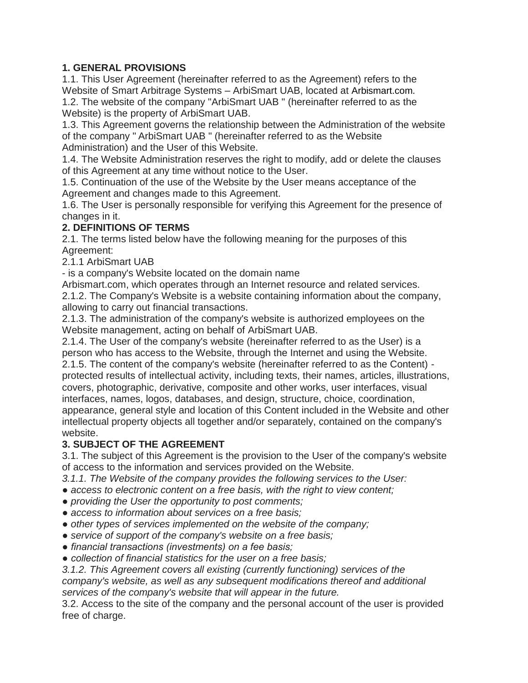## **1. GENERAL PROVISIONS**

1.1. This User Agreement (hereinafter referred to as the Agreement) refers to the Website of Smart Arbitrage Systems – ArbiSmart UAB, located at Arbismart.com. 1.2. The website of the company "ArbiSmart UAB " (hereinafter referred to as the Website) is the property of ArbiSmart UAB.

1.3. This Agreement governs the relationship between the Administration of the website of the company " ArbiSmart UAB " (hereinafter referred to as the Website Administration) and the User of this Website.

1.4. The Website Administration reserves the right to modify, add or delete the clauses of this Agreement at any time without notice to the User.

1.5. Continuation of the use of the Website by the User means acceptance of the Agreement and changes made to this Agreement.

1.6. The User is personally responsible for verifying this Agreement for the presence of changes in it.

### **2. DEFINITIONS OF TERMS**

2.1. The terms listed below have the following meaning for the purposes of this Agreement:

2.1.1 ArbiSmart UAB

- is a company's Website located on the domain name

Arbismart.com, which operates through an Internet resource and related services. 2.1.2. The Company's Website is a website containing information about the company, allowing to carry out financial transactions.

2.1.3. The administration of the company's website is authorized employees on the Website management, acting on behalf of ArbiSmart UAB.

2.1.4. The User of the company's website (hereinafter referred to as the User) is a person who has access to the Website, through the Internet and using the Website. 2.1.5. The content of the company's website (hereinafter referred to as the Content) protected results of intellectual activity, including texts, their names, articles, illustrations, covers, photographic, derivative, composite and other works, user interfaces, visual interfaces, names, logos, databases, and design, structure, choice, coordination, appearance, general style and location of this Content included in the Website and other intellectual property objects all together and/or separately, contained on the company's website.

### **3. SUBJECT OF THE AGREEMENT**

3.1. The subject of this Agreement is the provision to the User of the company's website of access to the information and services provided on the Website.

- *3.1.1. The Website of the company provides the following services to the User:*
- *access to electronic content on a free basis, with the right to view content;*
- *providing the User the opportunity to post comments;*
- *access to information about services on a free basis;*
- *other types of services implemented on the website of the company;*
- *service of support of the company's website on a free basis;*
- *financial transactions (investments) on a fee basis;*
- *collection of financial statistics for the user on a free basis;*

*3.1.2. This Agreement covers all existing (currently functioning) services of the company's website, as well as any subsequent modifications thereof and additional services of the company's website that will appear in the future.*

3.2. Access to the site of the company and the personal account of the user is provided free of charge.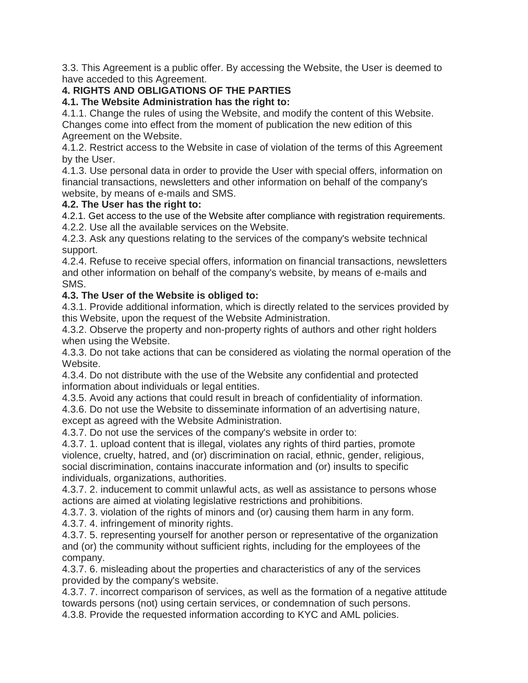3.3. This Agreement is a public offer. By accessing the Website, the User is deemed to have acceded to this Agreement.

# **4. RIGHTS AND OBLIGATIONS OF THE PARTIES**

### **4.1. The Website Administration has the right to:**

4.1.1. Change the rules of using the Website, and modify the content of this Website. Changes come into effect from the moment of publication the new edition of this Agreement on the Website.

4.1.2. Restrict access to the Website in case of violation of the terms of this Agreement by the User.

4.1.3. Use personal data in order to provide the User with special offers, information on financial transactions, newsletters and other information on behalf of the company's website, by means of e-mails and SMS.

### **4.2. The User has the right to:**

4.2.1. Get access to the use of the Website after compliance with registration requirements. 4.2.2. Use all the available services on the Website.

4.2.3. Ask any questions relating to the services of the company's website technical support.

4.2.4. Refuse to receive special offers, information on financial transactions, newsletters and other information on behalf of the company's website, by means of e-mails and SMS.

## **4.3. The User of the Website is obliged to:**

4.3.1. Provide additional information, which is directly related to the services provided by this Website, upon the request of the Website Administration.

4.3.2. Observe the property and non-property rights of authors and other right holders when using the Website.

4.3.3. Do not take actions that can be considered as violating the normal operation of the Website.

4.3.4. Do not distribute with the use of the Website any confidential and protected information about individuals or legal entities.

4.3.5. Avoid any actions that could result in breach of confidentiality of information. 4.3.6. Do not use the Website to disseminate information of an advertising nature, except as agreed with the Website Administration.

4.3.7. Do not use the services of the company's website in order to:

4.3.7. 1. upload content that is illegal, violates any rights of third parties, promote violence, cruelty, hatred, and (or) discrimination on racial, ethnic, gender, religious, social discrimination, contains inaccurate information and (or) insults to specific individuals, organizations, authorities.

4.3.7. 2. inducement to commit unlawful acts, as well as assistance to persons whose actions are aimed at violating legislative restrictions and prohibitions.

4.3.7. 3. violation of the rights of minors and (or) causing them harm in any form.

4.3.7. 4. infringement of minority rights.

4.3.7. 5. representing yourself for another person or representative of the organization and (or) the community without sufficient rights, including for the employees of the company.

4.3.7. 6. misleading about the properties and characteristics of any of the services provided by the company's website.

4.3.7. 7. incorrect comparison of services, as well as the formation of a negative attitude towards persons (not) using certain services, or condemnation of such persons.

4.3.8. Provide the requested information according to KYC and AML policies.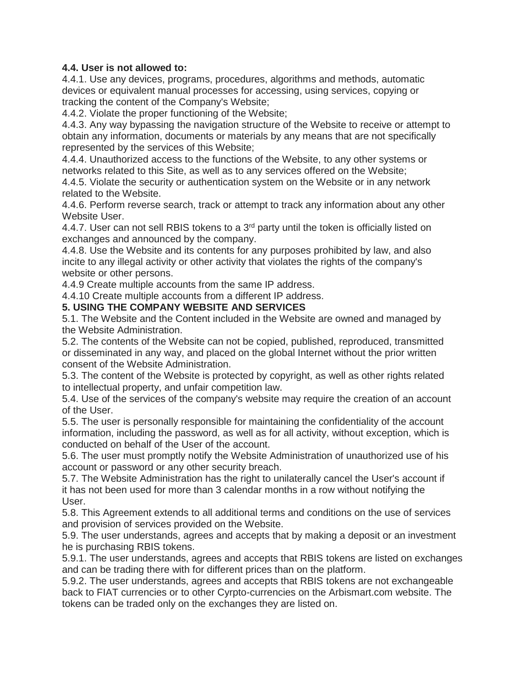### **4.4. User is not allowed to:**

4.4.1. Use any devices, programs, procedures, algorithms and methods, automatic devices or equivalent manual processes for accessing, using services, copying or tracking the content of the Company's Website;

4.4.2. Violate the proper functioning of the Website;

4.4.3. Any way bypassing the navigation structure of the Website to receive or attempt to obtain any information, documents or materials by any means that are not specifically represented by the services of this Website;

4.4.4. Unauthorized access to the functions of the Website, to any other systems or networks related to this Site, as well as to any services offered on the Website;

4.4.5. Violate the security or authentication system on the Website or in any network related to the Website.

4.4.6. Perform reverse search, track or attempt to track any information about any other Website User.

4.4.7. User can not sell RBIS tokens to a 3<sup>rd</sup> party until the token is officially listed on exchanges and announced by the company.

4.4.8. Use the Website and its contents for any purposes prohibited by law, and also incite to any illegal activity or other activity that violates the rights of the company's website or other persons.

4.4.9 Create multiple accounts from the same IP address.

4.4.10 Create multiple accounts from a different IP address.

#### **5. USING THE COMPANY WEBSITE AND SERVICES**

5.1. The Website and the Content included in the Website are owned and managed by the Website Administration.

5.2. The contents of the Website can not be copied, published, reproduced, transmitted or disseminated in any way, and placed on the global Internet without the prior written consent of the Website Administration.

5.3. The content of the Website is protected by copyright, as well as other rights related to intellectual property, and unfair competition law.

5.4. Use of the services of the company's website may require the creation of an account of the User.

5.5. The user is personally responsible for maintaining the confidentiality of the account information, including the password, as well as for all activity, without exception, which is conducted on behalf of the User of the account.

5.6. The user must promptly notify the Website Administration of unauthorized use of his account or password or any other security breach.

5.7. The Website Administration has the right to unilaterally cancel the User's account if it has not been used for more than 3 calendar months in a row without notifying the User.

5.8. This Agreement extends to all additional terms and conditions on the use of services and provision of services provided on the Website.

5.9. The user understands, agrees and accepts that by making a deposit or an investment he is purchasing RBIS tokens.

5.9.1. The user understands, agrees and accepts that RBIS tokens are listed on exchanges and can be trading there with for different prices than on the platform.

5.9.2. The user understands, agrees and accepts that RBIS tokens are not exchangeable back to FIAT currencies or to other Cyrpto-currencies on the Arbismart.com website. The tokens can be traded only on the exchanges they are listed on.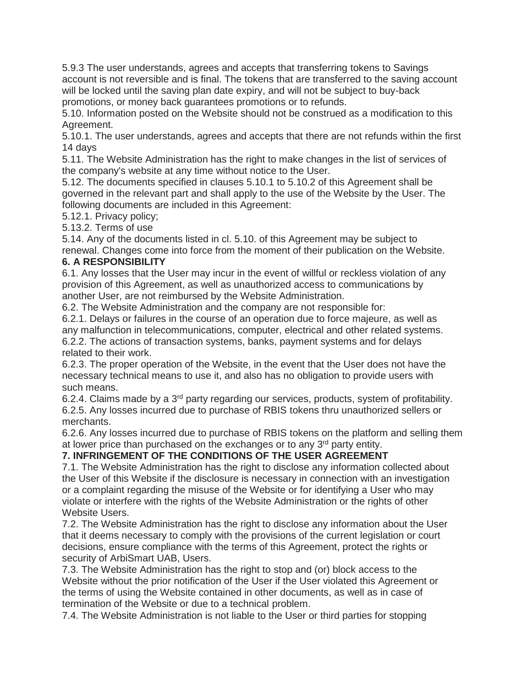5.9.3 The user understands, agrees and accepts that transferring tokens to Savings account is not reversible and is final. The tokens that are transferred to the saving account will be locked until the saving plan date expiry, and will not be subject to buy-back promotions, or money back guarantees promotions or to refunds.

5.10. Information posted on the Website should not be construed as a modification to this Agreement.

5.10.1. The user understands, agrees and accepts that there are not refunds within the first 14 days

5.11. The Website Administration has the right to make changes in the list of services of the company's website at any time without notice to the User.

5.12. The documents specified in clauses 5.10.1 to 5.10.2 of this Agreement shall be governed in the relevant part and shall apply to the use of the Website by the User. The following documents are included in this Agreement:

5.12.1. Privacy policy;

5.13.2. Terms of use

5.14. Any of the documents listed in cl. 5.10. of this Agreement may be subject to renewal. Changes come into force from the moment of their publication on the Website.

### **6. A RESPONSIBILITY**

6.1. Any losses that the User may incur in the event of willful or reckless violation of any provision of this Agreement, as well as unauthorized access to communications by another User, are not reimbursed by the Website Administration.

6.2. The Website Administration and the company are not responsible for:

6.2.1. Delays or failures in the course of an operation due to force majeure, as well as any malfunction in telecommunications, computer, electrical and other related systems. 6.2.2. The actions of transaction systems, banks, payment systems and for delays related to their work.

6.2.3. The proper operation of the Website, in the event that the User does not have the necessary technical means to use it, and also has no obligation to provide users with such means.

6.2.4. Claims made by a 3rd party regarding our services, products, system of profitability. 6.2.5. Any losses incurred due to purchase of RBIS tokens thru unauthorized sellers or merchants.

6.2.6. Any losses incurred due to purchase of RBIS tokens on the platform and selling them at lower price than purchased on the exchanges or to any 3<sup>rd</sup> party entity.

### **7. INFRINGEMENT OF THE CONDITIONS OF THE USER AGREEMENT**

7.1. The Website Administration has the right to disclose any information collected about the User of this Website if the disclosure is necessary in connection with an investigation or a complaint regarding the misuse of the Website or for identifying a User who may violate or interfere with the rights of the Website Administration or the rights of other Website Users.

7.2. The Website Administration has the right to disclose any information about the User that it deems necessary to comply with the provisions of the current legislation or court decisions, ensure compliance with the terms of this Agreement, protect the rights or security of ArbiSmart UAB, Users.

7.3. The Website Administration has the right to stop and (or) block access to the Website without the prior notification of the User if the User violated this Agreement or the terms of using the Website contained in other documents, as well as in case of termination of the Website or due to a technical problem.

7.4. The Website Administration is not liable to the User or third parties for stopping